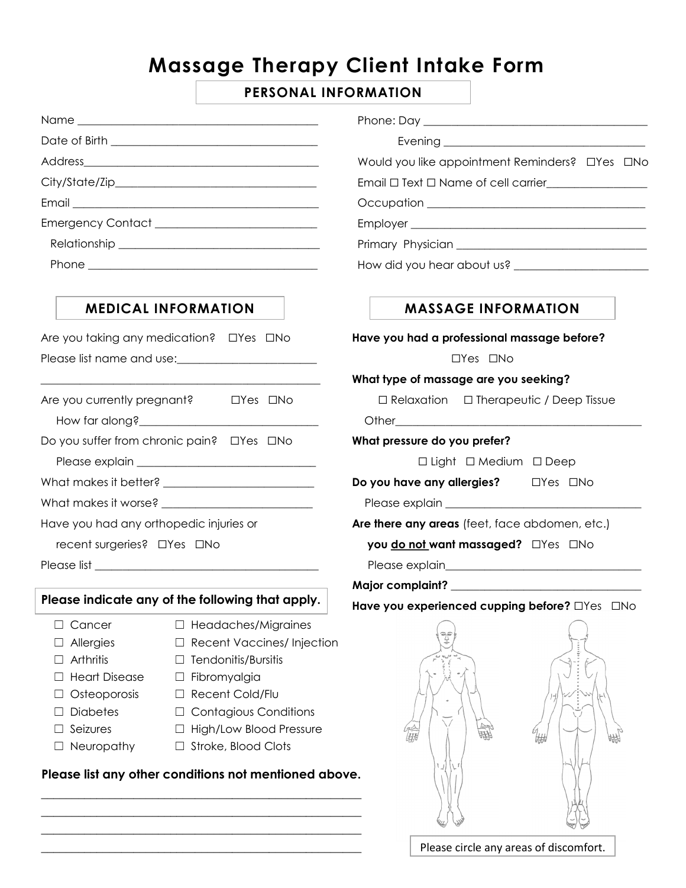# **Massage Therapy Client Intake Form**

# **PERSONAL INFORMATION**

|                                                                                                                       |                                                                                                                                                                                                               | Would you like appointment Reminders? OYes ONo     |
|-----------------------------------------------------------------------------------------------------------------------|---------------------------------------------------------------------------------------------------------------------------------------------------------------------------------------------------------------|----------------------------------------------------|
|                                                                                                                       |                                                                                                                                                                                                               | Email $\Box$ Text $\Box$ Name of cell carrier      |
|                                                                                                                       |                                                                                                                                                                                                               |                                                    |
|                                                                                                                       |                                                                                                                                                                                                               |                                                    |
|                                                                                                                       |                                                                                                                                                                                                               |                                                    |
|                                                                                                                       |                                                                                                                                                                                                               |                                                    |
|                                                                                                                       | <b>MEDICAL INFORMATION</b>                                                                                                                                                                                    | <b>MASSAGE INFORMATION</b>                         |
| Are you taking any medication? □ Yes □ No                                                                             |                                                                                                                                                                                                               | Have you had a professional massage before?        |
| Please list name and use:                                                                                             |                                                                                                                                                                                                               | $\Box$ Yes $\Box$ No                               |
|                                                                                                                       |                                                                                                                                                                                                               | What type of massage are you seeking?              |
| Are you currently pregnant? □ □ Yes □ No                                                                              |                                                                                                                                                                                                               | $\Box$ Relaxation $\Box$ Therapeutic / Deep Tissue |
|                                                                                                                       |                                                                                                                                                                                                               |                                                    |
| Do you suffer from chronic pain? □ Yes □ No                                                                           |                                                                                                                                                                                                               | What pressure do you prefer?                       |
|                                                                                                                       |                                                                                                                                                                                                               | $\Box$ Light $\Box$ Medium $\Box$ Deep             |
|                                                                                                                       |                                                                                                                                                                                                               | Do you have any allergies?<br><u>DYes</u> DNo      |
|                                                                                                                       |                                                                                                                                                                                                               |                                                    |
| Have you had any orthopedic injuries or                                                                               |                                                                                                                                                                                                               | Are there any areas (feet, face abdomen, etc.)     |
| recent surgeries? □Yes □No                                                                                            |                                                                                                                                                                                                               | you do not want massaged? OYes ONo                 |
|                                                                                                                       |                                                                                                                                                                                                               |                                                    |
|                                                                                                                       |                                                                                                                                                                                                               |                                                    |
| Please indicate any of the following that apply.                                                                      |                                                                                                                                                                                                               | Have you experienced cupping before? OYes ONo      |
| Cancer<br>Allergies<br>Arthritis<br><b>Heart Disease</b><br>Osteoporosis<br><b>Diabetes</b><br>Seizures<br>Neuropathy | Headaches/Migraines<br><b>Recent Vaccines/Injection</b><br>Tendonitis/Bursitis<br>Fibromyalgia<br>⊔<br>Recent Cold/Flu<br><b>Contagious Conditions</b><br>High/Low Blood Pressure<br>Stroke, Blood Clots<br>⊔ | ್ಕಿಕ್<br>倫脚<br>₩<br>佛                              |
|                                                                                                                       | Please list any other conditions not mentioned above.                                                                                                                                                         |                                                    |

\_\_\_\_\_\_\_\_\_\_\_\_\_\_\_\_\_\_\_\_\_\_\_\_\_\_\_\_\_\_\_\_\_\_\_\_\_\_\_\_\_\_\_\_\_\_\_\_\_\_\_\_ \_\_\_\_\_\_\_\_\_\_\_\_\_\_\_\_\_\_\_\_\_\_\_\_\_\_\_\_\_\_\_\_\_\_\_\_\_\_\_\_\_\_\_\_\_\_\_\_\_\_\_\_ \_\_\_\_\_\_\_\_\_\_\_\_\_\_\_\_\_\_\_\_\_\_\_\_\_\_\_\_\_\_\_\_\_\_\_\_\_\_\_\_\_\_\_\_\_\_\_\_\_\_\_\_ \_\_\_\_\_\_\_\_\_\_\_\_\_\_\_\_\_\_\_\_\_\_\_\_\_\_\_\_\_\_\_\_\_\_\_\_\_\_\_\_\_\_\_\_\_\_\_\_\_\_\_\_

Please circle any areas of discomfort.